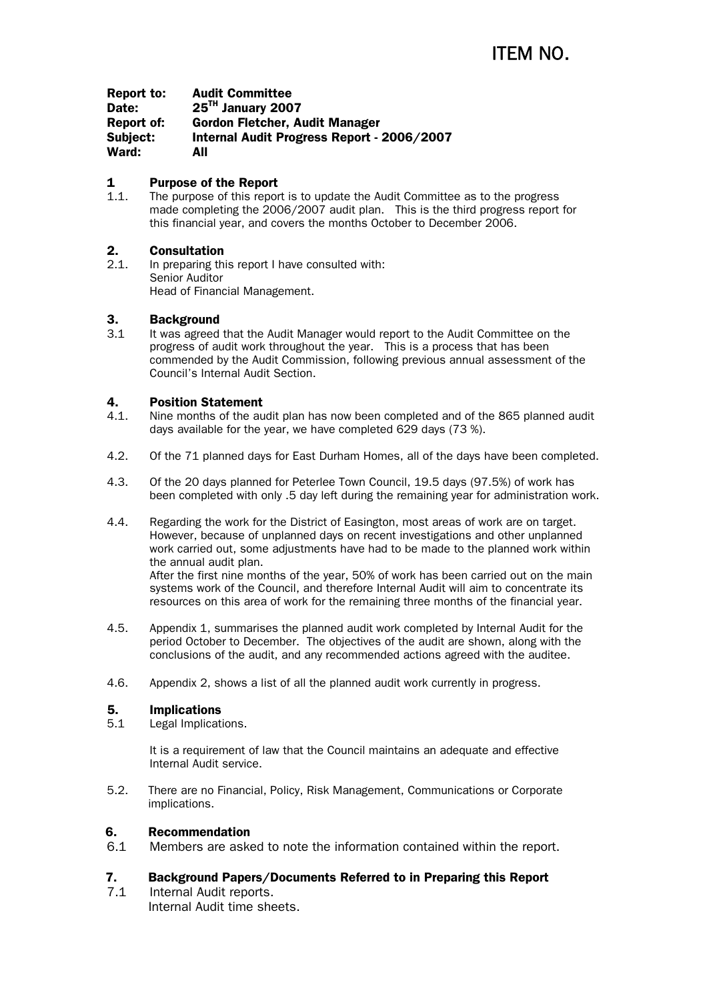| Report to: | <b>Audit Committee</b>                     |
|------------|--------------------------------------------|
| Date:      | 25 <sup>TH</sup> January 2007              |
| Report of: | Gordon Fletcher, Audit Manager             |
| Subject:   | Internal Audit Progress Report - 2006/2007 |
| Ward:      | All                                        |

## 1 Purpose of the Report

1.1. The purpose of this report is to update the Audit Committee as to the progress made completing the 2006/2007 audit plan. This is the third progress report for this financial year, and covers the months October to December 2006.

# 2. Consultation

2.1. In preparing this report I have consulted with: Senior Auditor Head of Financial Management.

# 3. Background

3.1 It was agreed that the Audit Manager would report to the Audit Committee on the progress of audit work throughout the year. This is a process that has been commended by the Audit Commission, following previous annual assessment of the Council's Internal Audit Section.

# 4. Position Statement

- 4.1. Nine months of the audit plan has now been completed and of the 865 planned audit days available for the year, we have completed 629 days (73 %).
- 4.2. Of the 71 planned days for East Durham Homes, all of the days have been completed.
- 4.3. Of the 20 days planned for Peterlee Town Council, 19.5 days (97.5%) of work has been completed with only .5 day left during the remaining year for administration work.
- 4.4. Regarding the work for the District of Easington, most areas of work are on target. However, because of unplanned days on recent investigations and other unplanned work carried out, some adjustments have had to be made to the planned work within the annual audit plan. After the first nine months of the year, 50% of work has been carried out on the main systems work of the Council, and therefore Internal Audit will aim to concentrate its resources on this area of work for the remaining three months of the financial year.
- 4.5. Appendix 1, summarises the planned audit work completed by Internal Audit for the period October to December. The objectives of the audit are shown, along with the conclusions of the audit, and any recommended actions agreed with the auditee.
- 4.6. Appendix 2, shows a list of all the planned audit work currently in progress.

# 5. Implications

5.1 Legal Implications.

It is a requirement of law that the Council maintains an adequate and effective Internal Audit service.

5.2. There are no Financial, Policy, Risk Management, Communications or Corporate implications.

## 6. Recommendation

6.1 Members are asked to note the information contained within the report.

# 7. Background Papers/Documents Referred to in Preparing this Report

7.1 Internal Audit reports. Internal Audit time sheets.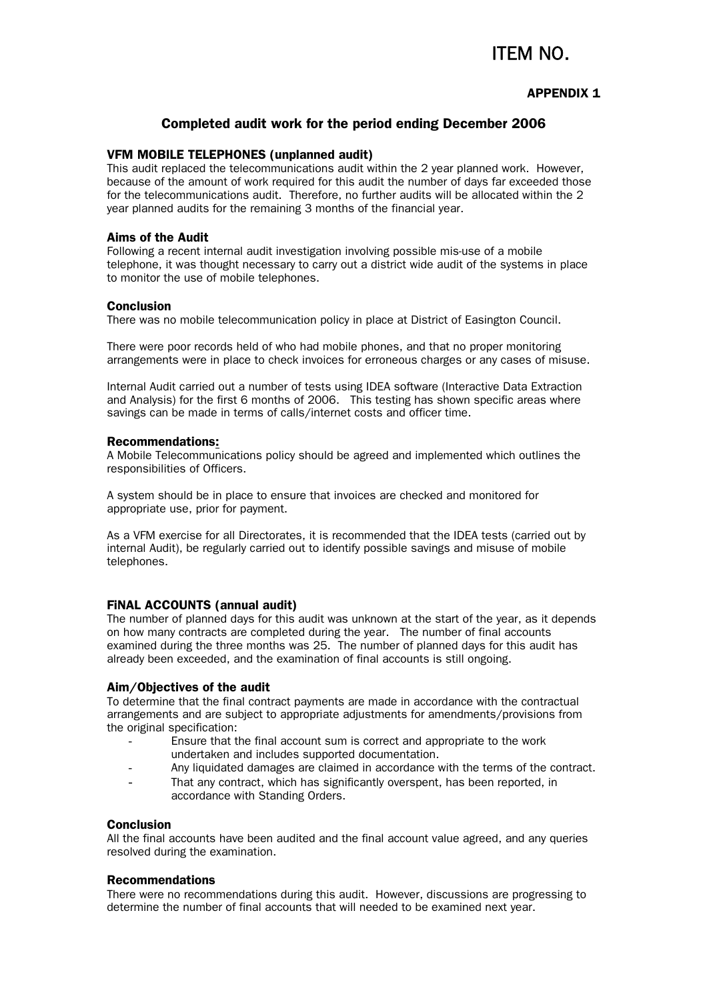# ITEM NO.

### APPENDIX 1

### Completed audit work for the period ending December 2006

#### VFM MOBILE TELEPHONES (unplanned audit)

This audit replaced the telecommunications audit within the 2 year planned work. However, because of the amount of work required for this audit the number of days far exceeded those for the telecommunications audit. Therefore, no further audits will be allocated within the 2 year planned audits for the remaining 3 months of the financial year.

#### Aims of the Audit

Following a recent internal audit investigation involving possible mis-use of a mobile telephone, it was thought necessary to carry out a district wide audit of the systems in place to monitor the use of mobile telephones.

#### **Conclusion**

There was no mobile telecommunication policy in place at District of Easington Council.

There were poor records held of who had mobile phones, and that no proper monitoring arrangements were in place to check invoices for erroneous charges or any cases of misuse.

Internal Audit carried out a number of tests using IDEA software (Interactive Data Extraction and Analysis) for the first 6 months of 2006. This testing has shown specific areas where savings can be made in terms of calls/internet costs and officer time.

#### Recommendations:

A Mobile Telecommunications policy should be agreed and implemented which outlines the responsibilities of Officers.

A system should be in place to ensure that invoices are checked and monitored for appropriate use, prior for payment.

As a VFM exercise for all Directorates, it is recommended that the IDEA tests (carried out by internal Audit), be regularly carried out to identify possible savings and misuse of mobile telephones.

#### FiNAL ACCOUNTS (annual audit)

The number of planned days for this audit was unknown at the start of the year, as it depends on how many contracts are completed during the year. The number of final accounts examined during the three months was 25. The number of planned days for this audit has already been exceeded, and the examination of final accounts is still ongoing.

#### Aim/Objectives of the audit

To determine that the final contract payments are made in accordance with the contractual arrangements and are subject to appropriate adjustments for amendments/provisions from the original specification:

- Ensure that the final account sum is correct and appropriate to the work undertaken and includes supported documentation.
- Any liquidated damages are claimed in accordance with the terms of the contract.
- That any contract, which has significantly overspent, has been reported, in accordance with Standing Orders.

#### Conclusion

All the final accounts have been audited and the final account value agreed, and any queries resolved during the examination.

#### Recommendations

There were no recommendations during this audit. However, discussions are progressing to determine the number of final accounts that will needed to be examined next year.